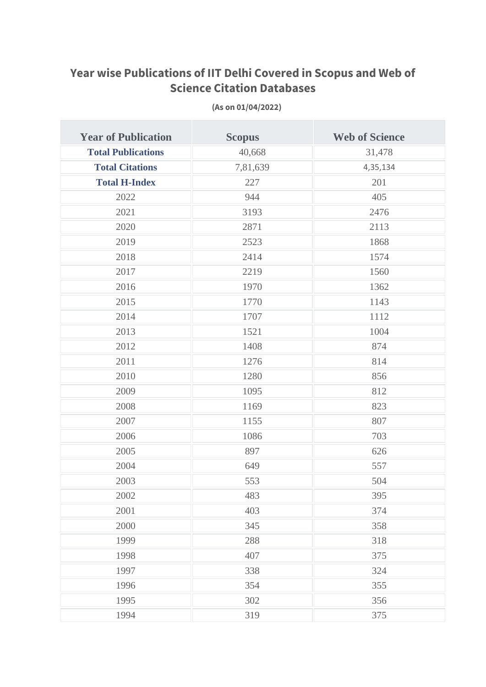## **Year wise Publications of IIT Delhi Covered in Scopus and Web of Science Citation Databases**

| <b>Year of Publication</b> | <b>Scopus</b> | <b>Web of Science</b> |
|----------------------------|---------------|-----------------------|
| <b>Total Publications</b>  | 40,668        | 31,478                |
| <b>Total Citations</b>     | 7,81,639      | 4,35,134              |
| <b>Total H-Index</b>       | 227           | 201                   |
| 2022                       | 944           | 405                   |
| 2021                       | 3193          | 2476                  |
| 2020                       | 2871          | 2113                  |
| 2019                       | 2523          | 1868                  |
| 2018                       | 2414          | 1574                  |
| 2017                       | 2219          | 1560                  |
| 2016                       | 1970          | 1362                  |
| 2015                       | 1770          | 1143                  |
| 2014                       | 1707          | 1112                  |
| 2013                       | 1521          | 1004                  |
| 2012                       | 1408          | 874                   |
| 2011                       | 1276          | 814                   |
| 2010                       | 1280          | 856                   |
| 2009                       | 1095          | 812                   |
| 2008                       | 1169          | 823                   |
| 2007                       | 1155          | 807                   |
| 2006                       | 1086          | 703                   |
| 2005                       | 897           | 626                   |
| 2004                       | 649           | 557                   |
| 2003                       | 553           | 504                   |
| 2002                       | 483           | 395                   |
| 2001                       | 403           | 374                   |
| 2000                       | 345           | 358                   |
| 1999                       | 288           | 318                   |
| 1998                       | 407           | 375                   |
| 1997                       | 338           | 324                   |
| 1996                       | 354           | 355                   |
| 1995                       | 302           | 356                   |
| 1994                       | 319           | 375                   |

**(As on 01/04/2022)**